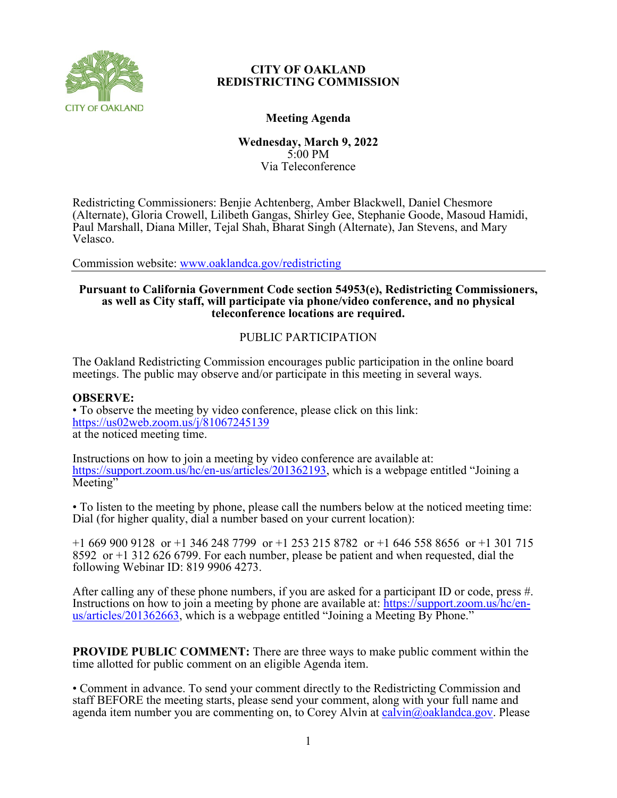

# **Meeting Agenda**

**Wednesday, March 9, 2022** 5:00 PM Via Teleconference

Redistricting Commissioners: Benjie Achtenberg, Amber Blackwell, Daniel Chesmore (Alternate), Gloria Crowell, Lilibeth Gangas, Shirley Gee, Stephanie Goode, Masoud Hamidi, Paul Marshall, Diana Miller, Tejal Shah, Bharat Singh (Alternate), Jan Stevens, and Mary Velasco.

Commission website: [www.oaklandca.gov/redistricting](https://www.oaklandca.gov/boards-commissions/redistricting-commission/meetings)

# **Pursuant to California Government Code section 54953(e), Redistricting Commissioners, as well as City staff, will participate via phone/video conference, and no physical teleconference locations are required.**

# PUBLIC PARTICIPATION

The Oakland Redistricting Commission encourages public participation in the online board meetings. The public may observe and/or participate in this meeting in several ways.

#### **OBSERVE:**

• To observe the meeting by video conference, please click on this link: <https://us02web.zoom.us/j/81067245139> at the noticed meeting time.

Instructions on how to join a meeting by video conference are available at: [https://support.zoom.us/hc/en-us/articles/201362193,](https://support.zoom.us/hc/en-us/articles/201362193) which is a webpage entitled "Joining a Meeting"

• To listen to the meeting by phone, please call the numbers below at the noticed meeting time: Dial (for higher quality, dial a number based on your current location):

+1 669 900 9128 or +1 346 248 7799 or +1 253 215 8782 or +1 646 558 8656 or +1 301 715 8592 or +1 312 626 6799. For each number, please be patient and when requested, dial the following Webinar ID: 819 9906 4273.

After calling any of these phone numbers, if you are asked for a participant ID or code, press #. Instructions on how to join a meeting by phone are available at: [https://support.zoom.us/hc/en](https://support.zoom.us/hc/en-us/articles/201362663)[us/articles/201362663,](https://support.zoom.us/hc/en-us/articles/201362663) which is a webpage entitled "Joining a Meeting By Phone."

**PROVIDE PUBLIC COMMENT:** There are three ways to make public comment within the time allotted for public comment on an eligible Agenda item.

• Comment in advance. To send your comment directly to the Redistricting Commission and staff BEFORE the meeting starts, please send your comment, along with your full name and agenda item number you are commenting on, to Corey Alvin at [calvin@oaklandca.gov.](mailto:calvin@oaklandca.gov) Please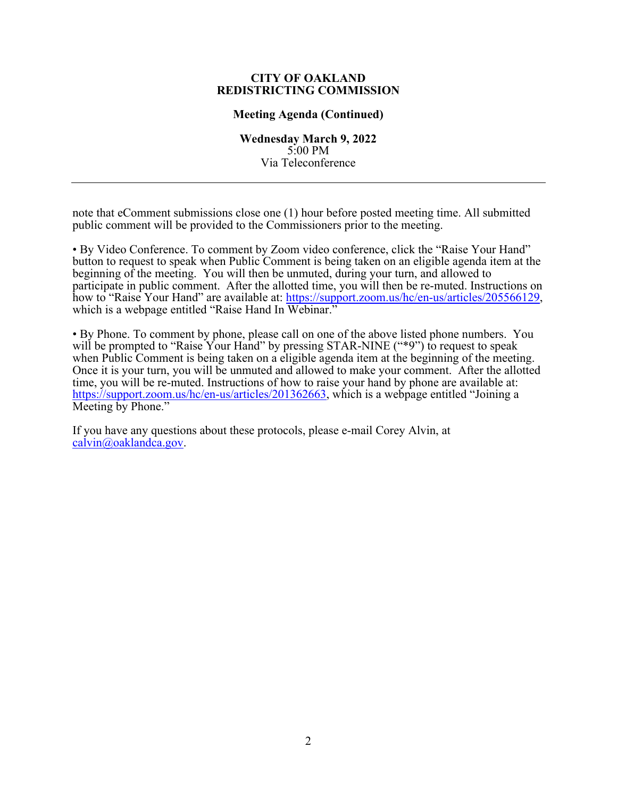#### **Meeting Agenda (Continued)**

**Wednesday March 9, 2022** 5:00 PM Via Teleconference

note that eComment submissions close one (1) hour before posted meeting time. All submitted public comment will be provided to the Commissioners prior to the meeting.

• By Video Conference. To comment by Zoom video conference, click the "Raise Your Hand" button to request to speak when Public Comment is being taken on an eligible agenda item at the beginning of the meeting. You will then be unmuted, during your turn, and allowed to participate in public comment. After the allotted time, you will then be re-muted. Instructions on how to "Raise Your Hand" are available at: [https://support.zoom.us/hc/en-us/articles/205566129,](https://support.zoom.us/hc/en-us/articles/205566129) which is a webpage entitled "Raise Hand In Webinar."

• By Phone. To comment by phone, please call on one of the above listed phone numbers. You will be prompted to "Raise Your Hand" by pressing STAR-NINE ("\*9") to request to speak when Public Comment is being taken on a eligible agenda item at the beginning of the meeting. Once it is your turn, you will be unmuted and allowed to make your comment. After the allotted time, you will be re-muted. Instructions of how to raise your hand by phone are available at: [https://support.zoom.us/hc/en-us/articles/201362663,](https://support.zoom.us/hc/en-us/articles/201362663) which is a webpage entitled "Joining a Meeting by Phone."

If you have any questions about these protocols, please e-mail Corey Alvin, at [calvin@oaklandca.gov.](mailto:calvin@oaklandca.gov)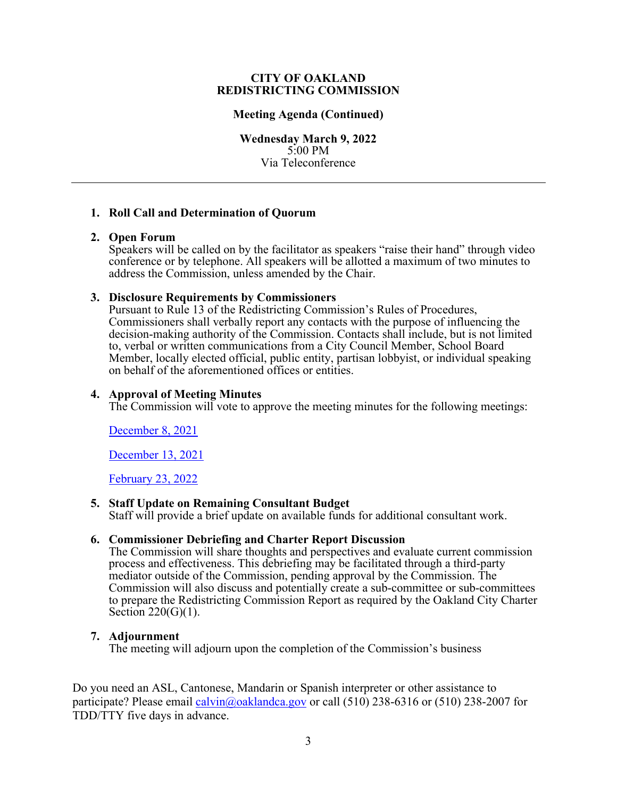#### **Meeting Agenda (Continued)**

**Wednesday March 9, 2022** 5:00 PM Via Teleconference

## **1. Roll Call and Determination of Quorum**

## **2. Open Forum**

Speakers will be called on by the facilitator as speakers "raise their hand" through video conference or by telephone. All speakers will be allotted a maximum of two minutes to address the Commission, unless amended by the Chair.

## **3. Disclosure Requirements by Commissioners**

Pursuant to Rule 13 of the Redistricting Commission's Rules of Procedures, Commissioners shall verbally report any contacts with the purpose of influencing the decision-making authority of the Commission. Contacts shall include, but is not limited to, verbal or written communications from a City Council Member, School Board Member, locally elected official, public entity, partisan lobbyist, or individual speaking on behalf of the aforementioned offices or entities.

## **4. Approval of Meeting Minutes**

The Commission will vote to approve the meeting minutes for the following meetings:

# [December 8, 2021](https://cao-94612.s3.amazonaws.com/documents/Redistricting-Commission-Meeting-Minutes-12-08-21_DRAFT.pdf)

[December 13, 2021](https://cao-94612.s3.amazonaws.com/documents/Redistricting-Commission-Meeting-Minutes-12-13-21_DRAFT.pdf)

[February 23, 2022](https://cao-94612.s3.amazonaws.com/documents/Redistricting-Commission-Meeting-Minutes-2-23-22_DRAFT.pdf)

# **5. Staff Update on Remaining Consultant Budget**

Staff will provide a brief update on available funds for additional consultant work.

#### **6. Commissioner Debriefing and Charter Report Discussion**

The Commission will share thoughts and perspectives and evaluate current commission process and effectiveness. This debriefing may be facilitated through a third-party mediator outside of the Commission, pending approval by the Commission. The Commission will also discuss and potentially create a sub-committee or sub-committees to prepare the Redistricting Commission Report as required by the Oakland City Charter Section 220(G)(1).

#### **7. Adjournment**

The meeting will adjourn upon the completion of the Commission's business

Do you need an ASL, Cantonese, Mandarin or Spanish interpreter or other assistance to participate? Please email [calvin@oaklandca.gov](mailto:calvin@oaklandca.gov) or call (510) 238-6316 or (510) 238-2007 for TDD/TTY five days in advance.